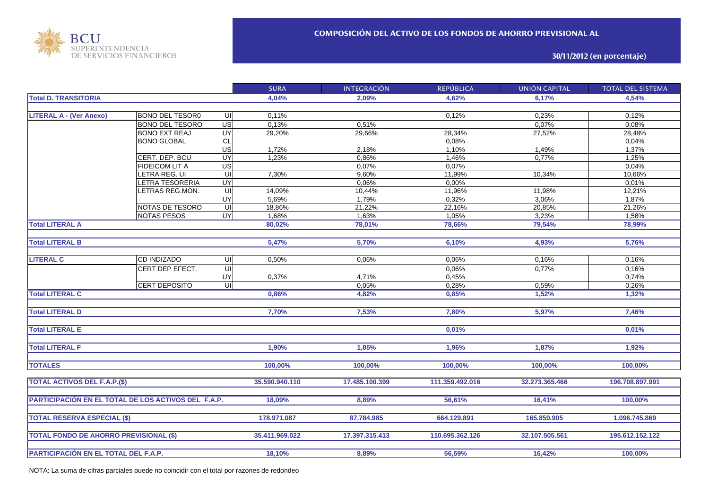

**30/11/2012 (en porcentaje)**

|                                                     |                        |                         | <b>SURA</b>    | <b>INTEGRACIÓN</b> | <b>REPÚBLICA</b> | <b>UNIÓN CAPITAL</b> | <b>TOTAL DEL SISTEMA</b> |
|-----------------------------------------------------|------------------------|-------------------------|----------------|--------------------|------------------|----------------------|--------------------------|
| <b>Total D. TRANSITORIA</b>                         |                        |                         | 4,04%          | 2.09%              | 4,62%            | 6,17%                | 4,54%                    |
|                                                     |                        |                         |                |                    |                  |                      |                          |
| <b>LITERAL A - (Ver Anexo)</b>                      | <b>BONO DEL TESOR0</b> | UI                      | 0,11%          |                    | 0,12%            | 0,23%                | 0,12%                    |
|                                                     | <b>BONO DEL TESORO</b> | US                      | 0,13%          | 0,51%              |                  | 0,07%                | 0,08%                    |
|                                                     | <b>BONO EXT REAJ</b>   | <b>UY</b>               | 29,20%         | 29,66%             | 28,34%           | 27,52%               | 28,48%                   |
|                                                     | <b>BONO GLOBAL</b>     | CL                      |                |                    | 0,08%            |                      | 0,04%                    |
|                                                     |                        | US                      | 1,72%          | 2,18%              | 1,10%            | 1,49%                | 1,37%                    |
|                                                     | CERT. DEP. BCU         | UY                      | 1,23%          | 0,86%              | 1,46%            | 0,77%                | 1,25%                    |
|                                                     | <b>FIDEICOM LIT A</b>  | US                      |                | 0,07%              | 0,07%            |                      | 0,04%                    |
|                                                     | LETRA REG. UI          | UI                      | 7,30%          | 9,60%              | 11,99%           | 10,34%               | 10,66%                   |
|                                                     | LETRA TESORERIA        | UY                      |                | 0,06%              | 0,00%            |                      | 0,01%                    |
|                                                     | LETRAS REG.MON.        | UI                      | 14,09%         | 10,44%             | 11,96%           | 11,98%               | 12,21%                   |
|                                                     |                        | UY                      | 5,69%          | 1,79%              | 0,32%            | 3,06%                | 1,87%                    |
|                                                     | NOTAS DE TESORO        | U                       | 18,86%         | 21,22%             | 22,16%           | 20,85%               | 21,26%                   |
|                                                     | <b>NOTAS PESOS</b>     | UY                      | 1,68%          | 1,63%              | 1,05%            | 3,23%                | 1,58%                    |
| <b>Total LITERAL A</b>                              |                        |                         | 80,02%         | 78,01%             | 78,66%           | 79,54%               | 78,99%                   |
|                                                     |                        |                         |                |                    |                  |                      |                          |
| <b>Total LITERAL B</b>                              |                        |                         | 5,47%          | 5,70%              | 6,10%            | 4,93%                | 5,76%                    |
|                                                     |                        |                         |                |                    |                  |                      |                          |
| <b>LITERAL C</b>                                    | <b>CD INDIZADO</b>     | $\overline{\mathsf{c}}$ | 0,50%          | 0.06%              | 0,06%            | 0,16%                | 0,16%                    |
|                                                     | CERT DEP EFECT.        | $\overline{U}$          |                |                    | 0,06%            | 0,77%                | 0,16%                    |
|                                                     |                        | UY                      | 0,37%          | 4,71%              | 0,45%            |                      | 0,74%                    |
|                                                     | <b>CERT DEPOSITO</b>   | $\overline{\mathsf{u}}$ |                | 0,05%              | 0,28%            | 0,59%                | 0,26%                    |
| <b>Total LITERAL C</b>                              |                        |                         | 0,86%          | 4,82%              | 0,85%            | 1,52%                | 1,32%                    |
|                                                     |                        |                         |                |                    |                  |                      |                          |
| <b>Total LITERAL D</b>                              |                        |                         | 7,70%          | 7,53%              | 7.80%            | 5,97%                | 7.46%                    |
|                                                     |                        |                         |                |                    |                  |                      |                          |
| <b>Total LITERAL E</b>                              |                        |                         |                |                    | 0.01%            |                      | 0.01%                    |
|                                                     |                        |                         |                |                    |                  |                      |                          |
| <b>Total LITERAL F</b>                              |                        |                         | 1.90%          | 1,85%              | 1,96%            | 1,87%                | 1.92%                    |
|                                                     |                        |                         |                |                    |                  |                      |                          |
| <b>TOTALES</b>                                      |                        |                         | 100,00%        | 100,00%            | 100,00%          | 100,00%              | 100,00%                  |
|                                                     |                        |                         |                |                    |                  |                      |                          |
| <b>TOTAL ACTIVOS DEL F.A.P.(\$)</b>                 |                        |                         | 35.590.940.110 | 17.485.100.399     | 111.359.492.016  | 32.273.365.466       | 196.708.897.991          |
|                                                     |                        |                         |                |                    |                  |                      |                          |
| PARTICIPACIÓN EN EL TOTAL DE LOS ACTIVOS DEL F.A.P. |                        |                         | 18,09%         | 8,89%              | 56,61%           | 16,41%               | 100,00%                  |
|                                                     |                        |                         |                |                    |                  |                      |                          |
| <b>TOTAL RESERVA ESPECIAL (\$)</b>                  |                        |                         | 178.971.087    | 87.784.985         | 664.129.891      | 165.859.905          | 1.096.745.869            |
|                                                     |                        |                         |                |                    |                  |                      |                          |
| <b>TOTAL FONDO DE AHORRO PREVISIONAL (\$)</b>       |                        |                         | 35.411.969.022 | 17.397.315.413     | 110.695.362.126  | 32.107.505.561       | 195.612.152.122          |
|                                                     |                        |                         |                |                    |                  |                      |                          |
| PARTICIPACIÓN EN EL TOTAL DEL F.A.P.                |                        |                         | 18,10%         | 8,89%              | 56,59%           | 16,42%               | 100,00%                  |

NOTA: La suma de cifras parciales puede no coincidir con el total por razones de redondeo